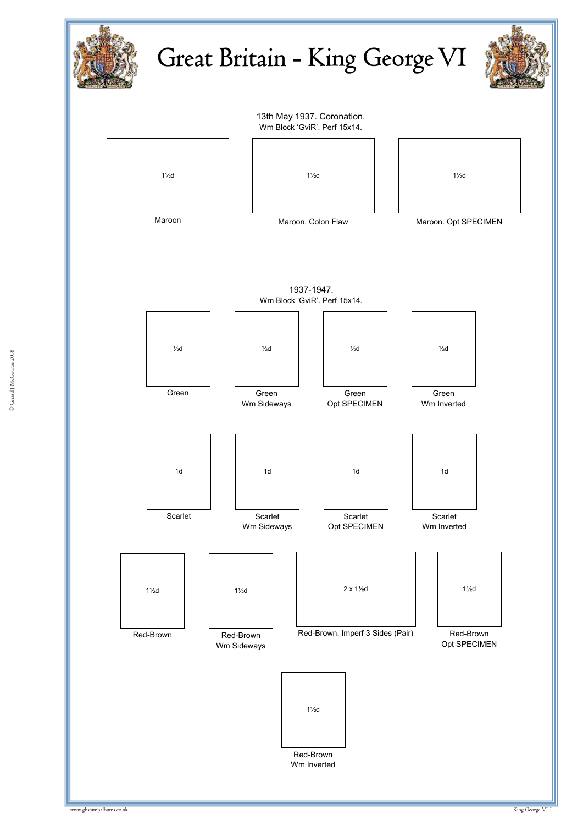

© Gerard J McGouran 2018 © Gerard J McGouran 2018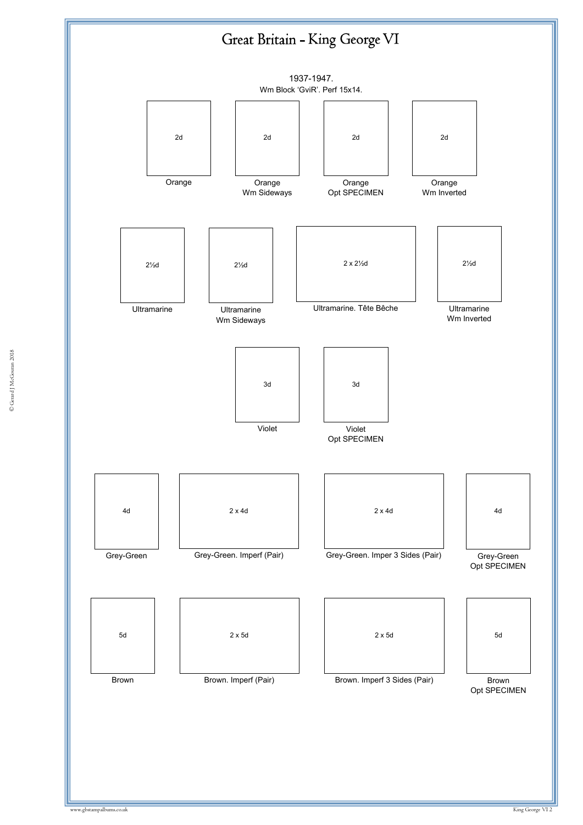## Great Britain - King George VI

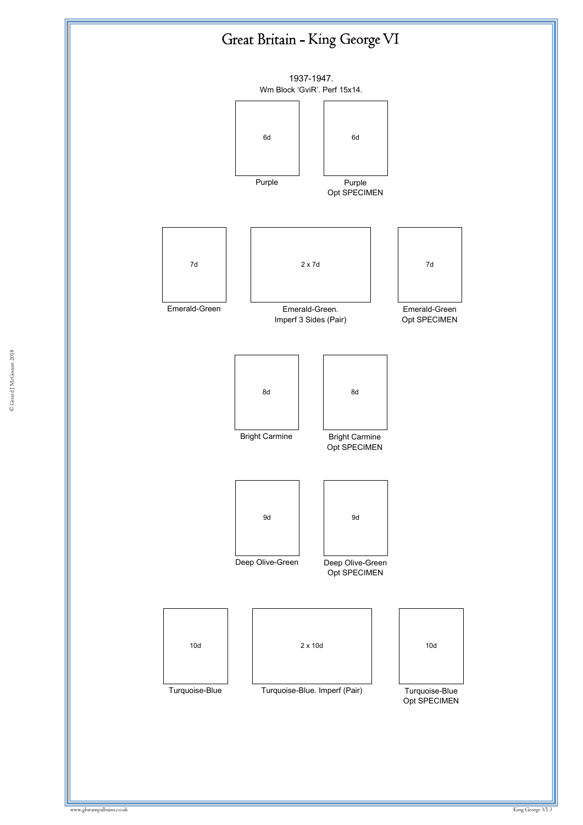

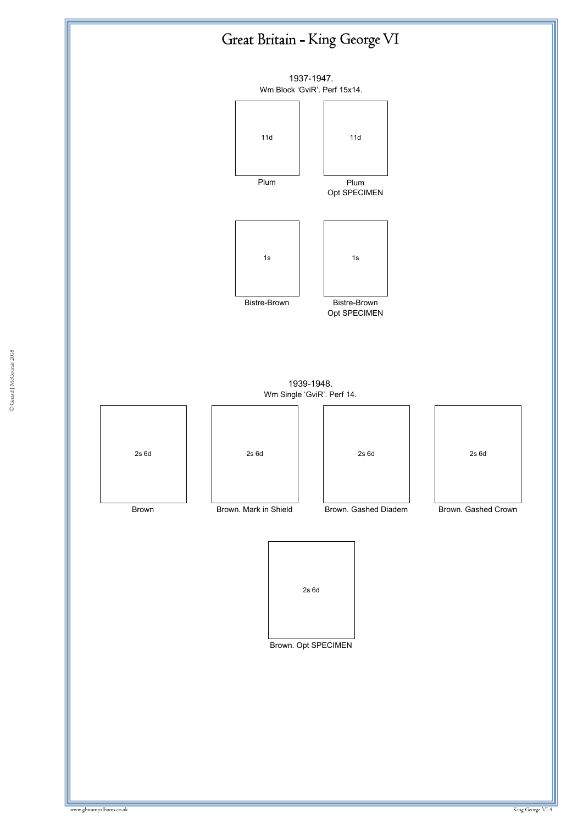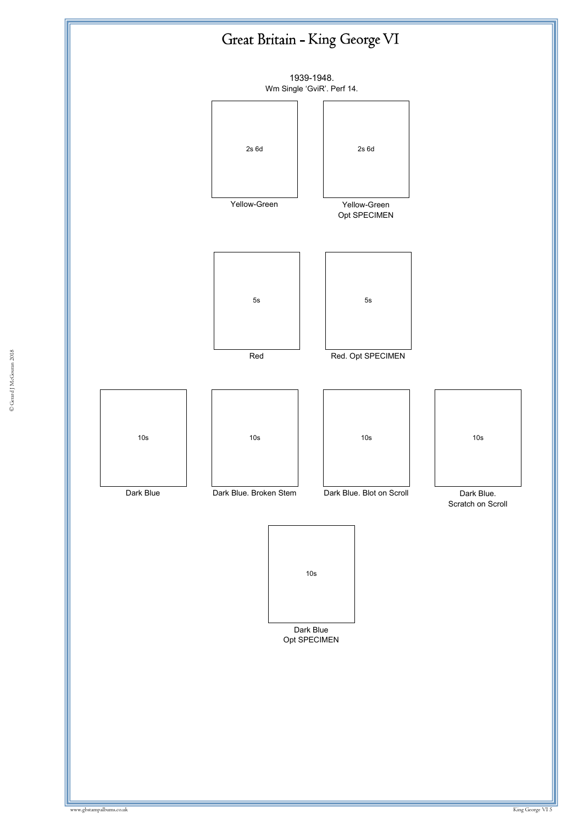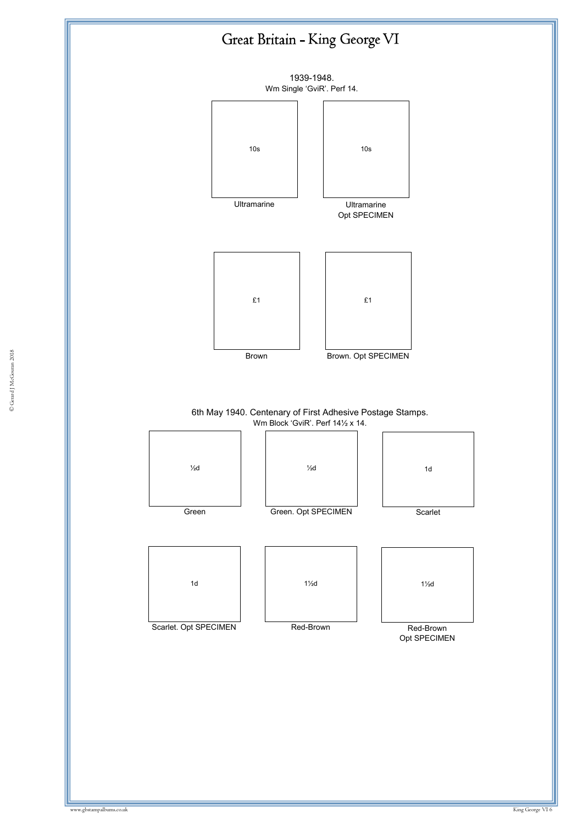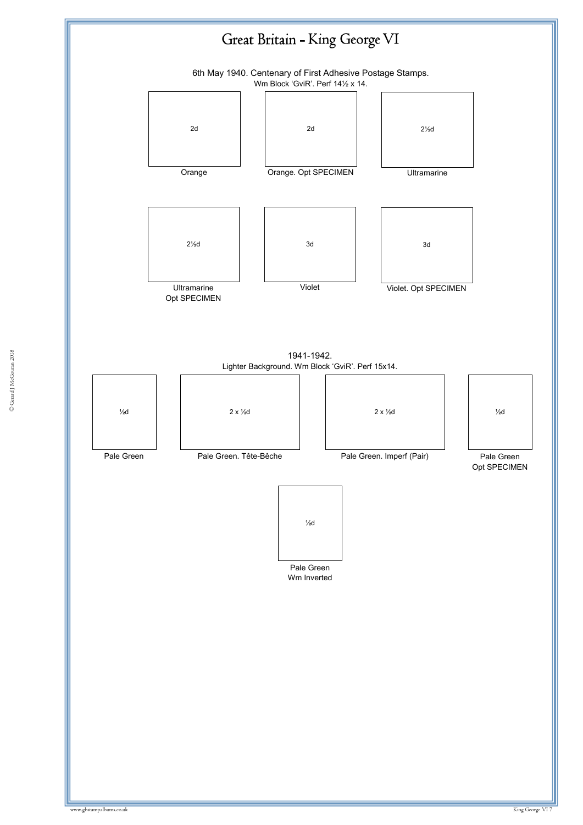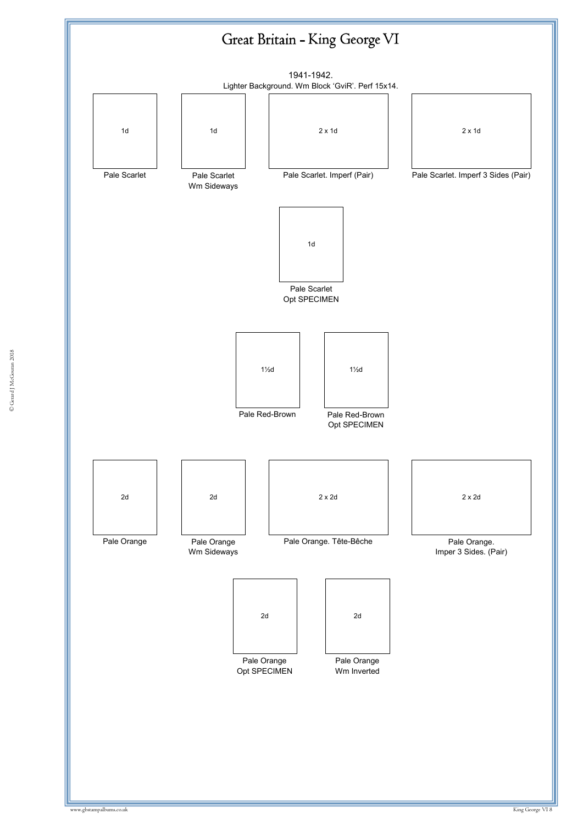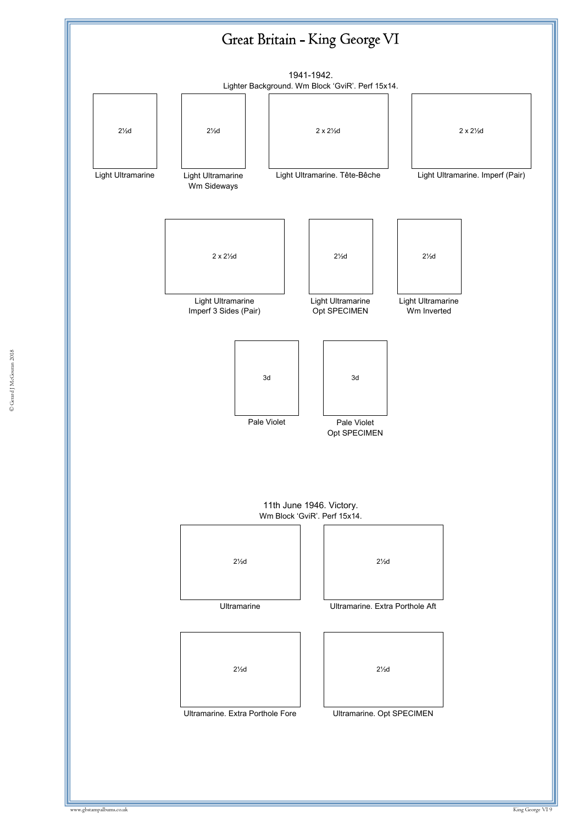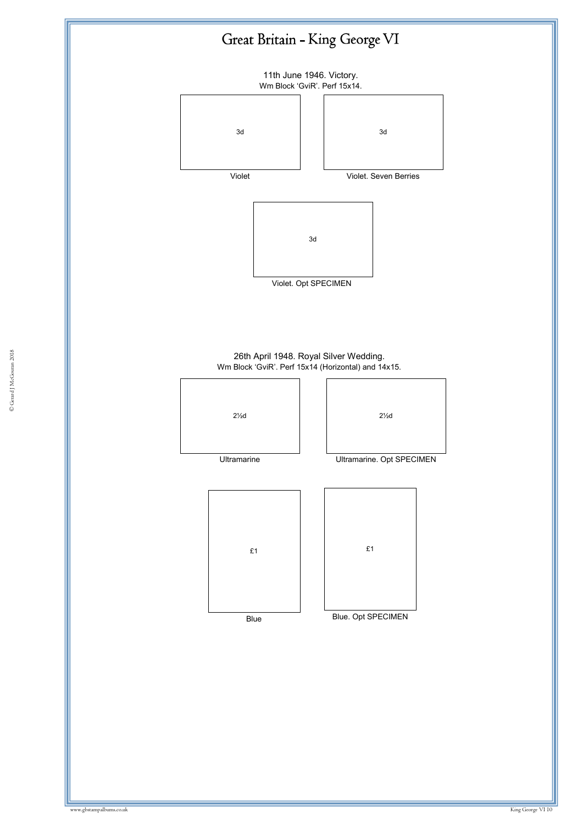

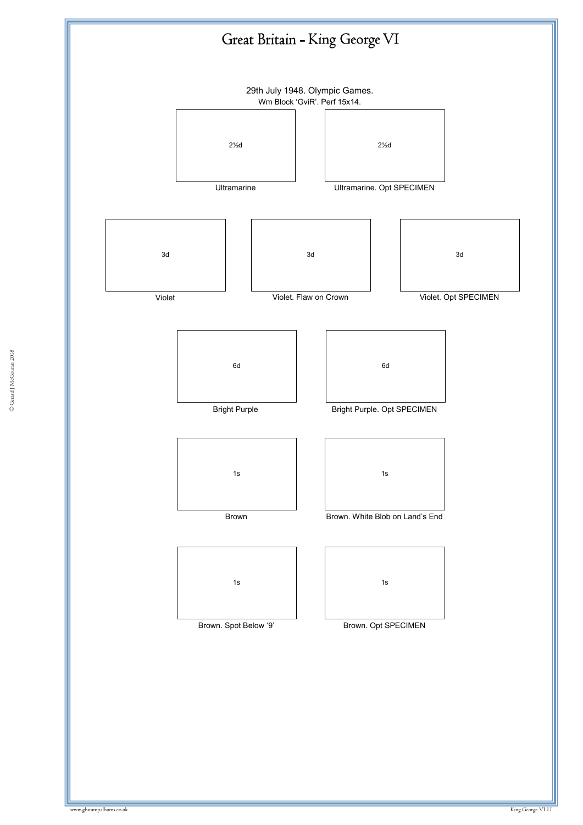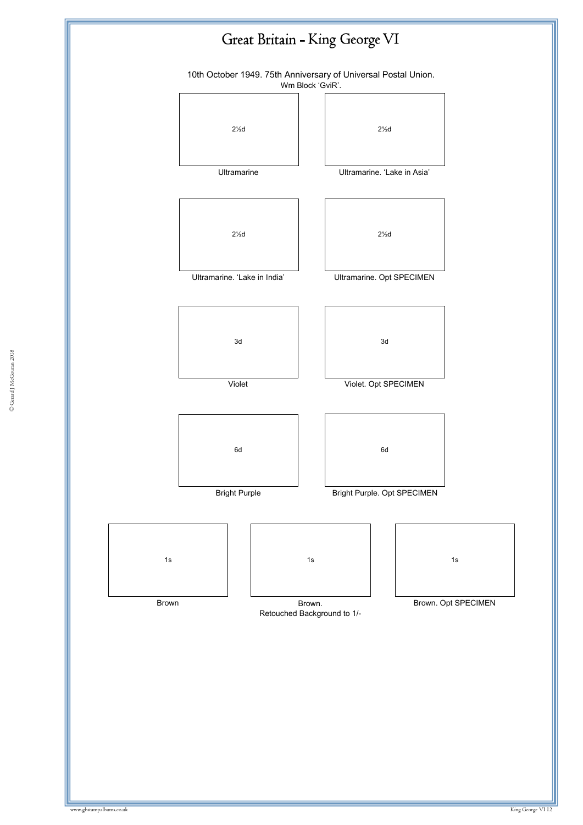

© Gerard J McGouran 2018 © Gerard J McGouran 2018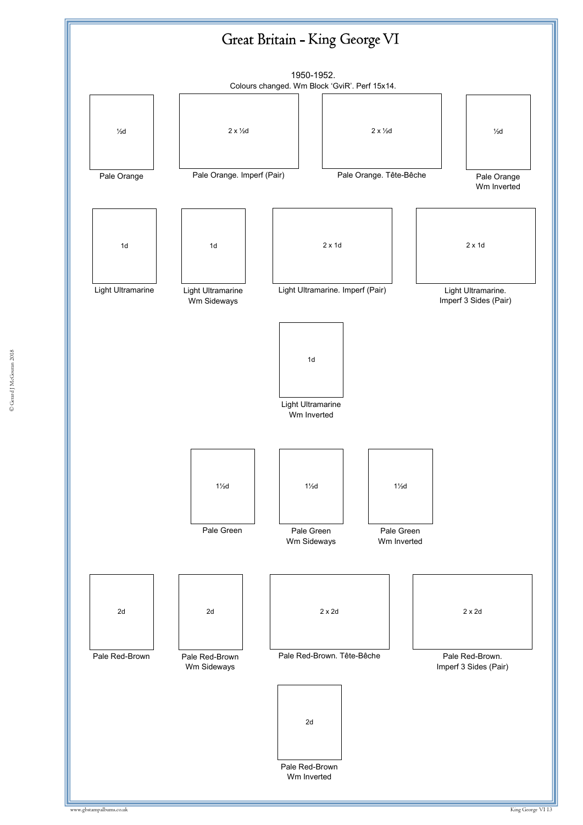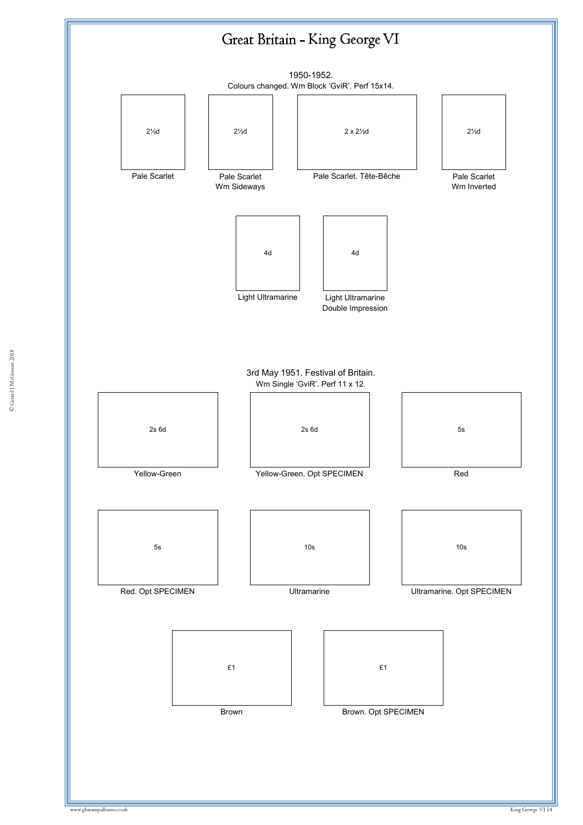